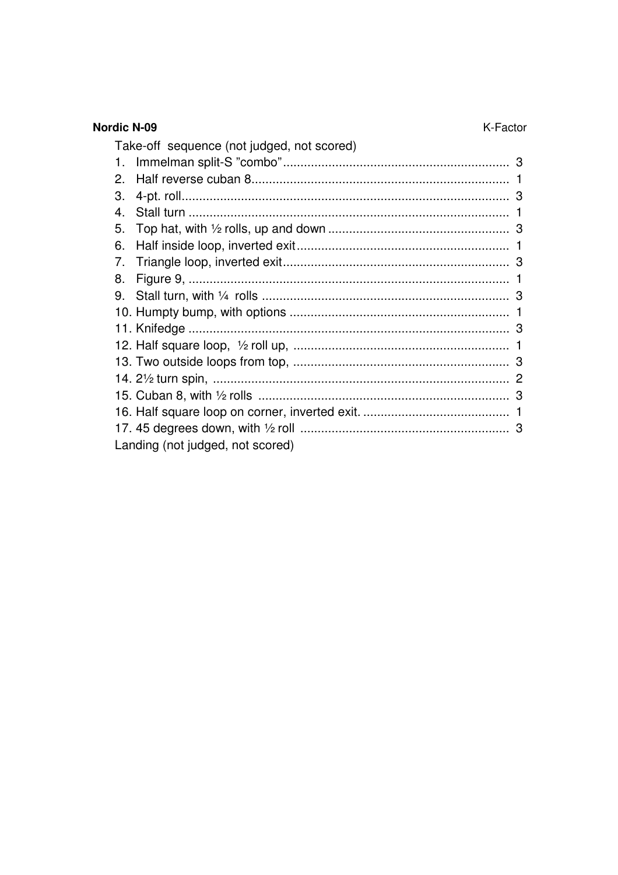| <b>Nordic N-09</b><br>K-Factor             |  |
|--------------------------------------------|--|
| Take-off sequence (not judged, not scored) |  |
| $1_{-}$                                    |  |
| 2.                                         |  |
| 3.                                         |  |
| $\mathbf{4}$                               |  |
| 5.                                         |  |
| 6.                                         |  |
| 7.                                         |  |
| 8.                                         |  |
| 9.                                         |  |
|                                            |  |
|                                            |  |
|                                            |  |
|                                            |  |
|                                            |  |
|                                            |  |
|                                            |  |
|                                            |  |
| Landing (not judged, not scored)           |  |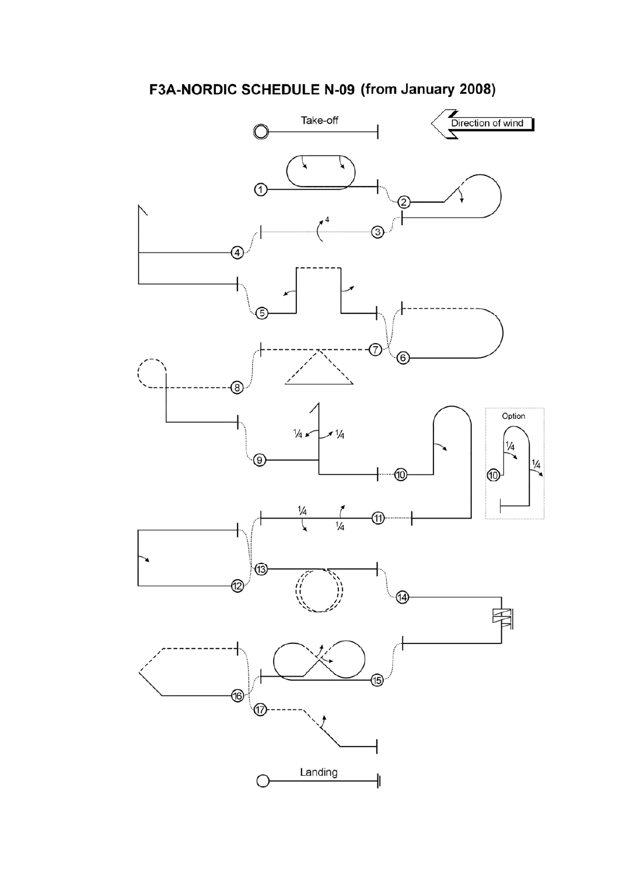# F3A-NORDIC SCHEDULE N-09 (from January 2008)

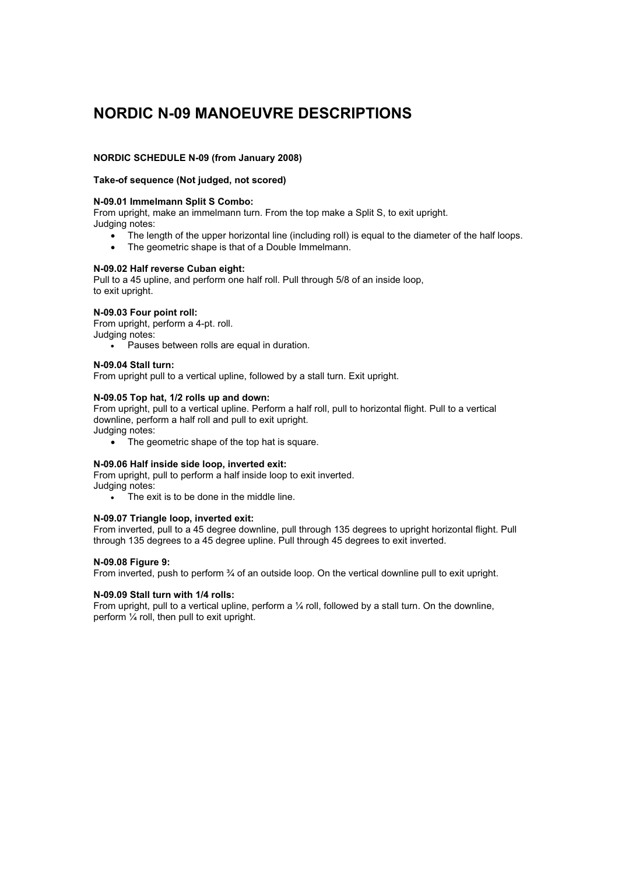# **NORDIC N-09 MANOEUVRE DESCRIPTIONS**

# **NORDIC SCHEDULE N-09 (from January 2008)**

## **Take-of sequence (Not judged, not scored)**

### **N-09.01 Immelmann Split S Combo:**

From upright, make an immelmann turn. From the top make a Split S, to exit upright. Judging notes:

- $\bullet$ The length of the upper horizontal line (including roll) is equal to the diameter of the half loops.
- $\bullet$ The geometric shape is that of a Double Immelmann.

### **N-09.02 Half reverse Cuban eight:**

Pull to a 45 upline, and perform one half roll. Pull through 5/8 of an inside loop, to exit upright.

# **N-09.03 Four point roll:**

From upright, perform a 4-pt. roll.

Judging notes:

 $\bullet$ Pauses between rolls are equal in duration.

#### **N-09.04 Stall turn:**

From upright pull to a vertical upline, followed by a stall turn. Exit upright.

# **N-09.05 Top hat, 1/2 rolls up and down:**

From upright, pull to a vertical upline. Perform a half roll, pull to horizontal flight. Pull to a vertical downline, perform a half roll and pull to exit upright. Judging notes:

 $\bullet$ The geometric shape of the top hat is square.

#### **N-09.06 Half inside side loop, inverted exit:**

From upright, pull to perform a half inside loop to exit inverted. Judging notes:

 $\bullet$ The exit is to be done in the middle line.

#### **N-09.07 Triangle loop, inverted exit:**

From inverted, pull to a 45 degree downline, pull through 135 degrees to upright horizontal flight. Pull through 135 degrees to a 45 degree upline. Pull through 45 degrees to exit inverted.

# **N-09.08 Figure 9:**

From inverted, push to perform 3⁄4 of an outside loop. On the vertical downline pull to exit upright.

#### **N-09.09 Stall turn with 1/4 rolls:**

From upright, pull to a vertical upline, perform a 1/4 roll, followed by a stall turn. On the downline, perform ¼ roll, then pull to exit upright.